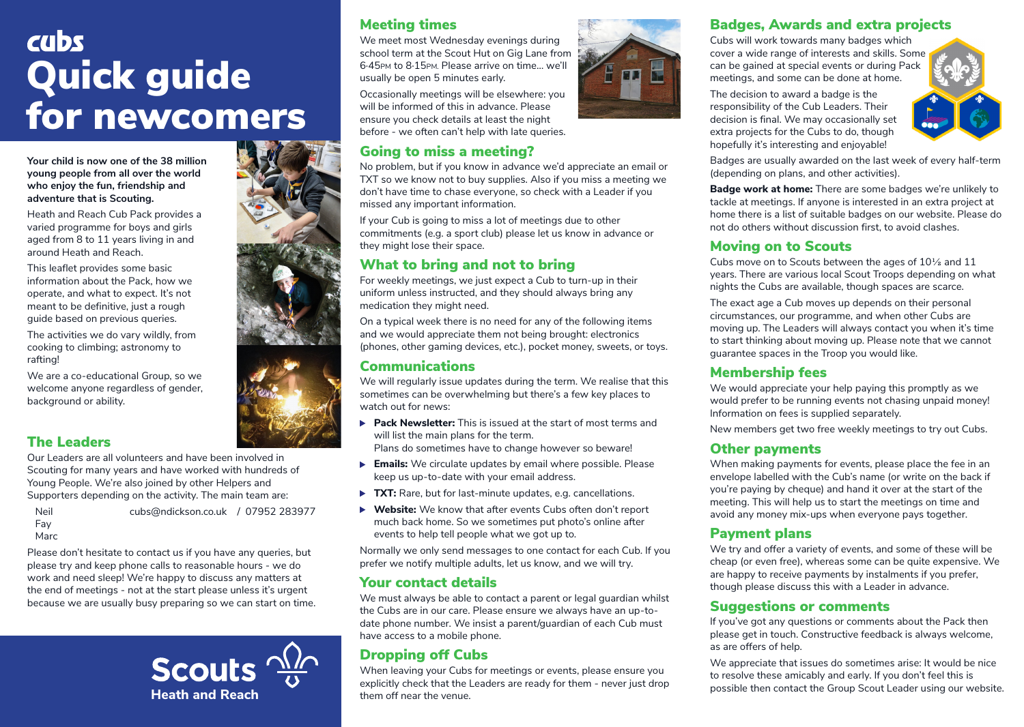# cubs Quick guide for newcomers

**Your child is now one of the 38 million young people from all over the world who enjoy the fun, friendship and adventure that is Scouting.**

Heath and Reach Cub Pack provides a varied programme for boys and girls aged from 8 to 11 years living in and around Heath and Reach.

This leaflet provides some basic information about the Pack, how we operate, and what to expect. It's not meant to be definitive, just a rough guide based on previous queries.

The activities we do vary wildly, from cooking to climbing; astronomy to rafting!

We are a co-educational Group, so we welcome anyone regardless of gender, background or ability.

# The Leaders

Our Leaders are all volunteers and have been involved in Scouting for many years and have worked with hundreds of Young People. We're also joined by other Helpers and Supporters depending on the activity. The main team are:

 Neil cubs@ndickson.co.uk / 07952 283977 Fay

Marc

Please don't hesitate to contact us if you have any queries, but please try and keep phone calls to reasonable hours - we do work and need sleep! We're happy to discuss any matters at the end of meetings - not at the start please unless it's urgent because we are usually busy preparing so we can start on time.

> **Scouts Heath and Reach them off near the venue.**

# Meeting times

We meet most Wednesday evenings during school term at the Scout Hut on Gig Lane from 6·45PM to 8·15PM. Please arrive on time… we'll usually be open 5 minutes early.

Occasionally meetings will be elsewhere: you will be informed of this in advance. Please ensure you check details at least the night before - we often can't help with late queries.

## Going to miss a meeting?

No problem, but if you know in advance we'd appreciate an email or TXT so we know not to buy supplies. Also if you miss a meeting we don't have time to chase everyone, so check with a Leader if you missed any important information.

If your Cub is going to miss a lot of meetings due to other commitments (e.g. a sport club) please let us know in advance or they might lose their space.

# What to bring and not to bring

For weekly meetings, we just expect a Cub to turn-up in their uniform unless instructed, and they should always bring any medication they might need.

On a typical week there is no need for any of the following items and we would appreciate them not being brought: electronics (phones, other gaming devices, etc.), pocket money, sweets, or toys.

## Communications

We will regularly issue updates during the term. We realise that this sometimes can be overwhelming but there's a few key places to watch out for news:

- **Pack Newsletter:** This is issued at the start of most terms and will list the main plans for the term. Plans do sometimes have to change however so beware!
- **Emails:** We circulate updates by email where possible. Please keep us up-to-date with your email address.
- ▶ TXT: Rare, but for last-minute updates, e.g. cancellations.
- **Website:** We know that after events Cubs often don't report much back home. So we sometimes put photo's online after events to help tell people what we got up to.

Normally we only send messages to one contact for each Cub. If you prefer we notify multiple adults, let us know, and we will try.

## Your contact details

We must always be able to contact a parent or legal guardian whilst the Cubs are in our care. Please ensure we always have an up-todate phone number. We insist a parent/guardian of each Cub must have access to a mobile phone.

# Dropping off Cubs

When leaving your Cubs for meetings or events, please ensure you explicitly check that the Leaders are ready for them - never just drop

## Badges, Awards and extra projects

Cubs will work towards many badges which cover a wide range of interests and skills. Some can be gained at special events or during Pack meetings, and some can be done at home.

The decision to award a badge is the responsibility of the Cub Leaders. Their decision is final. We may occasionally set extra projects for the Cubs to do, though hopefully it's interesting and enjoyable!



Badges are usually awarded on the last week of every half-term (depending on plans, and other activities).

**Badge work at home:** There are some badges we're unlikely to tackle at meetings. If anyone is interested in an extra project at home there is a list of suitable badges on our website. Please do not do others without discussion first, to avoid clashes.

## Moving on to Scouts

Cubs move on to Scouts between the ages of 10½ and 11 years. There are various local Scout Troops depending on what nights the Cubs are available, though spaces are scarce.

The exact age a Cub moves up depends on their personal circumstances, our programme, and when other Cubs are moving up. The Leaders will always contact you when it's time to start thinking about moving up. Please note that we cannot guarantee spaces in the Troop you would like.

## Membership fees

We would appreciate your help paying this promptly as we would prefer to be running events not chasing unpaid money! Information on fees is supplied separately.

New members get two free weekly meetings to try out Cubs.

## Other payments

When making payments for events, please place the fee in an envelope labelled with the Cub's name (or write on the back if you're paying by cheque) and hand it over at the start of the meeting. This will help us to start the meetings on time and avoid any money mix-ups when everyone pays together.

## Payment plans

We try and offer a variety of events, and some of these will be cheap (or even free), whereas some can be quite expensive. We are happy to receive payments by instalments if you prefer, though please discuss this with a Leader in advance.

## Suggestions or comments

If you've got any questions or comments about the Pack then please get in touch. Constructive feedback is always welcome, as are offers of help.

We appreciate that issues do sometimes arise: It would be nice to resolve these amicably and early. If you don't feel this is possible then contact the Group Scout Leader using our website.